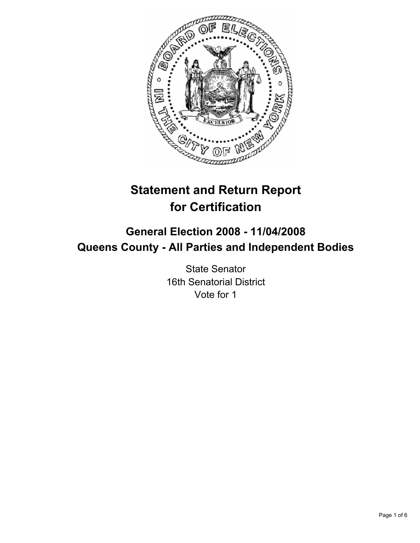

# **Statement and Return Report for Certification**

# **General Election 2008 - 11/04/2008 Queens County - All Parties and Independent Bodies**

State Senator 16th Senatorial District Vote for 1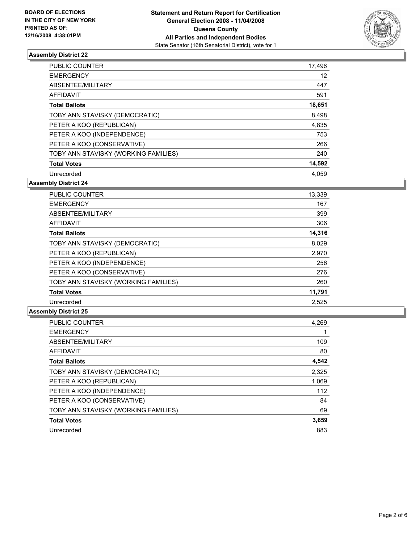

| <b>PUBLIC COUNTER</b>                | 17,496 |
|--------------------------------------|--------|
| <b>EMERGENCY</b>                     | 12     |
| ABSENTEE/MILITARY                    | 447    |
| AFFIDAVIT                            | 591    |
| <b>Total Ballots</b>                 | 18,651 |
| TOBY ANN STAVISKY (DEMOCRATIC)       | 8,498  |
| PETER A KOO (REPUBLICAN)             | 4,835  |
| PETER A KOO (INDEPENDENCE)           | 753    |
| PETER A KOO (CONSERVATIVE)           | 266    |
| TOBY ANN STAVISKY (WORKING FAMILIES) | 240    |
| <b>Total Votes</b>                   | 14,592 |
| Unrecorded                           | 4.059  |

**Assembly District 24**

| PUBLIC COUNTER                       | 13,339 |
|--------------------------------------|--------|
| <b>EMERGENCY</b>                     | 167    |
| ABSENTEE/MILITARY                    | 399    |
| <b>AFFIDAVIT</b>                     | 306    |
| <b>Total Ballots</b>                 | 14,316 |
| TOBY ANN STAVISKY (DEMOCRATIC)       | 8,029  |
| PETER A KOO (REPUBLICAN)             | 2,970  |
| PETER A KOO (INDEPENDENCE)           | 256    |
| PETER A KOO (CONSERVATIVE)           | 276    |
| TOBY ANN STAVISKY (WORKING FAMILIES) | 260    |
| <b>Total Votes</b>                   | 11,791 |
| Unrecorded                           | 2.525  |

| <b>PUBLIC COUNTER</b>                | 4,269 |
|--------------------------------------|-------|
| <b>EMERGENCY</b>                     |       |
| ABSENTEE/MILITARY                    | 109   |
| <b>AFFIDAVIT</b>                     | 80    |
| <b>Total Ballots</b>                 | 4,542 |
| TOBY ANN STAVISKY (DEMOCRATIC)       | 2,325 |
| PETER A KOO (REPUBLICAN)             | 1,069 |
| PETER A KOO (INDEPENDENCE)           | 112   |
| PETER A KOO (CONSERVATIVE)           | 84    |
| TOBY ANN STAVISKY (WORKING FAMILIES) | 69    |
| <b>Total Votes</b>                   | 3,659 |
| Unrecorded                           | 883   |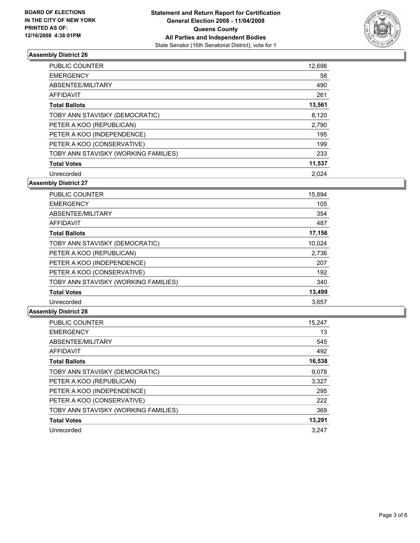

| <b>PUBLIC COUNTER</b>                | 12,698 |
|--------------------------------------|--------|
| <b>EMERGENCY</b>                     | 58     |
| ABSENTEE/MILITARY                    | 490    |
| AFFIDAVIT                            | 261    |
| <b>Total Ballots</b>                 | 13,561 |
| TOBY ANN STAVISKY (DEMOCRATIC)       | 8,120  |
| PETER A KOO (REPUBLICAN)             | 2,790  |
| PETER A KOO (INDEPENDENCE)           | 195    |
| PETER A KOO (CONSERVATIVE)           | 199    |
| TOBY ANN STAVISKY (WORKING FAMILIES) | 233    |
| <b>Total Votes</b>                   | 11,537 |
| Unrecorded                           | 2.024  |

**Assembly District 27**

| <b>PUBLIC COUNTER</b>                | 15,894 |
|--------------------------------------|--------|
| <b>EMERGENCY</b>                     | 105    |
| ABSENTEE/MILITARY                    | 354    |
| <b>AFFIDAVIT</b>                     | 487    |
| <b>Total Ballots</b>                 | 17,156 |
| TOBY ANN STAVISKY (DEMOCRATIC)       | 10,024 |
| PETER A KOO (REPUBLICAN)             | 2,736  |
| PETER A KOO (INDEPENDENCE)           | 207    |
| PETER A KOO (CONSERVATIVE)           | 192    |
| TOBY ANN STAVISKY (WORKING FAMILIES) | 340    |
| <b>Total Votes</b>                   | 13,499 |
| Unrecorded                           | 3,657  |

| <b>PUBLIC COUNTER</b>                | 15,247 |
|--------------------------------------|--------|
| <b>EMERGENCY</b>                     | 13     |
| ABSENTEE/MILITARY                    | 545    |
| <b>AFFIDAVIT</b>                     | 492    |
| <b>Total Ballots</b>                 | 16,538 |
| TOBY ANN STAVISKY (DEMOCRATIC)       | 9.078  |
| PETER A KOO (REPUBLICAN)             | 3,327  |
| PETER A KOO (INDEPENDENCE)           | 295    |
| PETER A KOO (CONSERVATIVE)           | 222    |
| TOBY ANN STAVISKY (WORKING FAMILIES) | 369    |
| <b>Total Votes</b>                   | 13,291 |
| Unrecorded                           | 3.247  |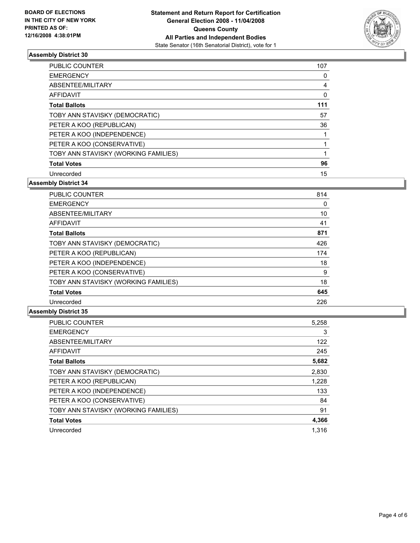

| <b>PUBLIC COUNTER</b>                | 107 |
|--------------------------------------|-----|
| <b>EMERGENCY</b>                     |     |
| ABSENTEE/MILITARY                    | 4   |
| AFFIDAVIT                            |     |
| <b>Total Ballots</b>                 | 111 |
| TOBY ANN STAVISKY (DEMOCRATIC)       | 57  |
| PETER A KOO (REPUBLICAN)             | 36  |
| PETER A KOO (INDEPENDENCE)           |     |
| PETER A KOO (CONSERVATIVE)           |     |
| TOBY ANN STAVISKY (WORKING FAMILIES) |     |
| <b>Total Votes</b>                   | 96  |
| Unrecorded                           | 15  |

**Assembly District 34**

| PUBLIC COUNTER                       | 814 |
|--------------------------------------|-----|
| <b>EMERGENCY</b>                     | 0   |
| ABSENTEE/MILITARY                    | 10  |
| <b>AFFIDAVIT</b>                     | 41  |
| <b>Total Ballots</b>                 | 871 |
| TOBY ANN STAVISKY (DEMOCRATIC)       | 426 |
| PETER A KOO (REPUBLICAN)             | 174 |
| PETER A KOO (INDEPENDENCE)           | 18  |
| PETER A KOO (CONSERVATIVE)           | 9   |
| TOBY ANN STAVISKY (WORKING FAMILIES) | 18  |
| <b>Total Votes</b>                   | 645 |
| Unrecorded                           | 226 |

| <b>PUBLIC COUNTER</b>                | 5,258 |
|--------------------------------------|-------|
| <b>EMERGENCY</b>                     | 3     |
| ABSENTEE/MILITARY                    | 122   |
| <b>AFFIDAVIT</b>                     | 245   |
| <b>Total Ballots</b>                 | 5,682 |
| TOBY ANN STAVISKY (DEMOCRATIC)       | 2,830 |
| PETER A KOO (REPUBLICAN)             | 1,228 |
| PETER A KOO (INDEPENDENCE)           | 133   |
| PETER A KOO (CONSERVATIVE)           | 84    |
| TOBY ANN STAVISKY (WORKING FAMILIES) | 91    |
| <b>Total Votes</b>                   | 4,366 |
| Unrecorded                           | 1.316 |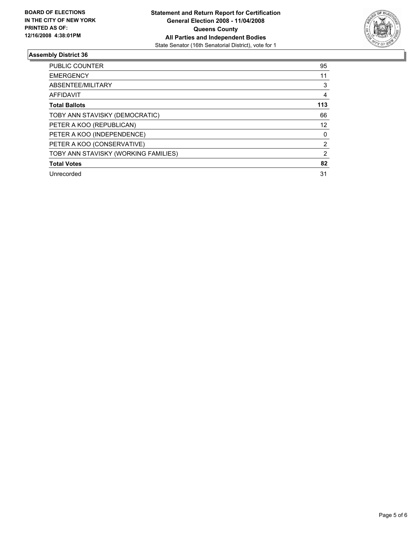

| PUBLIC COUNTER                       | 95  |
|--------------------------------------|-----|
| <b>EMERGENCY</b>                     | 11  |
| ABSENTEE/MILITARY                    | 3   |
| AFFIDAVIT                            |     |
| <b>Total Ballots</b>                 | 113 |
| TOBY ANN STAVISKY (DEMOCRATIC)       | 66  |
| PETER A KOO (REPUBLICAN)             | 12  |
| PETER A KOO (INDEPENDENCE)           | 0   |
| PETER A KOO (CONSERVATIVE)           | 2   |
| TOBY ANN STAVISKY (WORKING FAMILIES) | 2   |
| <b>Total Votes</b>                   | 82  |
| Unrecorded                           | 31  |